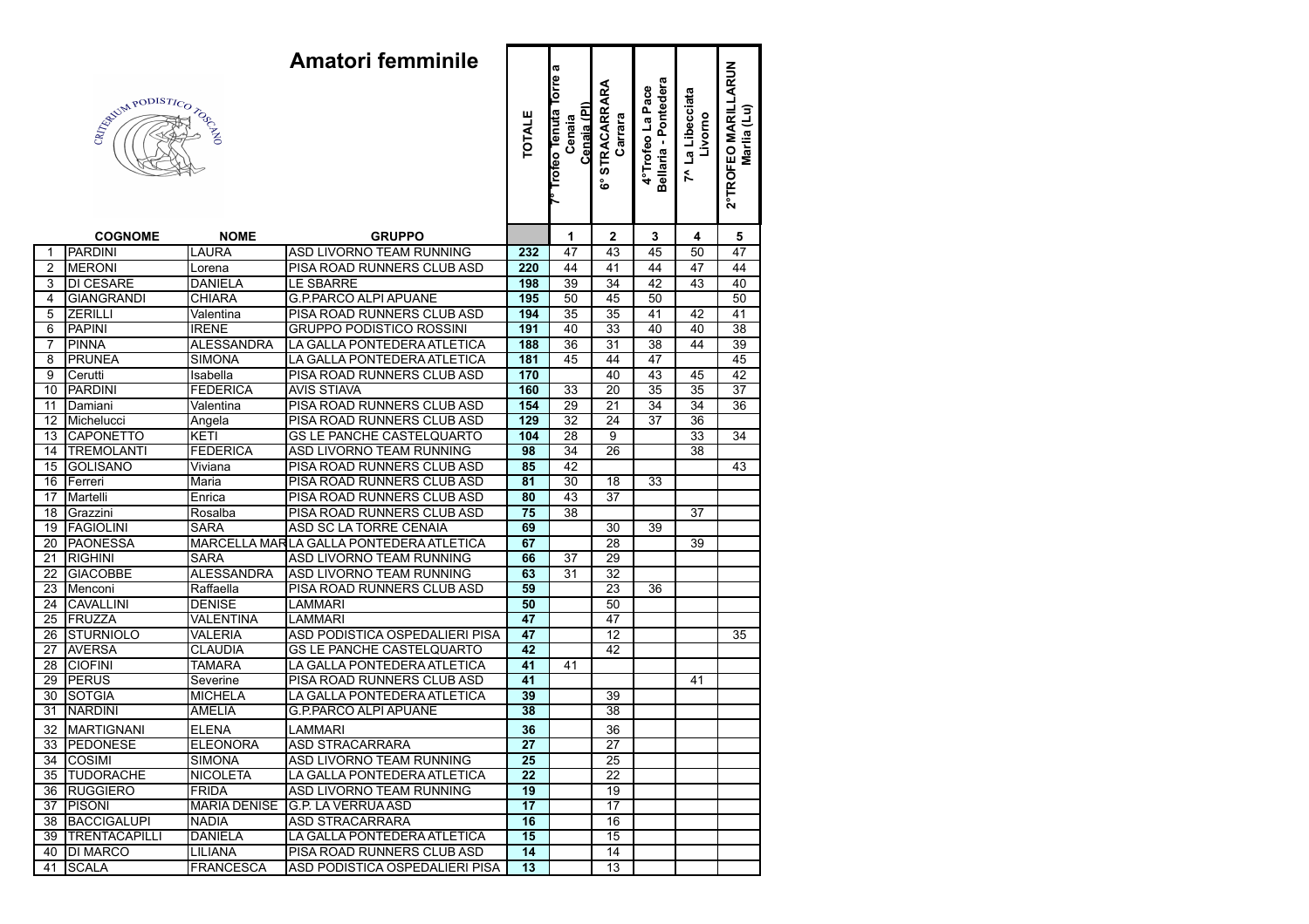|                        |                   |                     | æ                                       |                 |                                                        |                                     |                                          |                             |                                    |
|------------------------|-------------------|---------------------|-----------------------------------------|-----------------|--------------------------------------------------------|-------------------------------------|------------------------------------------|-----------------------------|------------------------------------|
| E (Castle Report Sept) |                   |                     |                                         | <b>TOTALE</b>   | <b>Torre</b><br>Cenaia (PI)<br>Frofeo Tenuta<br>Cenaia | <b>STRACARRARA</b><br>Carrara<br>ဖိ | Bellaria - Pontedera<br>4°Trofeo La Pace | 7^ La Libecciata<br>Livorno | 2°TROFEO MARILLARUN<br>Marlia (Lu) |
|                        | <b>COGNOME</b>    | <b>NOME</b>         | <b>GRUPPO</b>                           |                 | 1                                                      | $\mathbf{2}$                        | 3                                        | 4                           | 5                                  |
| $\mathbf 1$            | PARDINI           | LAURA               | ASD LIVORNO TEAM RUNNING                | 232             | 47                                                     | 43                                  | 45                                       | 50                          | 47                                 |
| $\overline{2}$         | <b>MERONI</b>     | Lorena              | PISA ROAD RUNNERS CLUB ASD              | 220             | 44                                                     | 41                                  | 44                                       | 47                          | 44                                 |
| 3                      | <b>DI CESARE</b>  | <b>DANIELA</b>      | <b>LE SBARRE</b>                        | 198             | 39                                                     | $\overline{34}$                     | 42                                       | 43                          | 40                                 |
| 4                      | <b>GIANGRANDI</b> | <b>CHIARA</b>       | <b>G.P.PARCO ALPI APUANE</b>            | 195             | 50                                                     | 45                                  | 50                                       |                             | 50                                 |
| 5                      | <b>ZERILLI</b>    | Valentina           | PISA ROAD RUNNERS CLUB ASD              | 194             | 35                                                     | 35                                  | 41                                       | 42                          | 41                                 |
| 6                      | <b>PAPINI</b>     | <b>IRENE</b>        | <b>GRUPPO PODISTICO ROSSINI</b>         | 191             | 40                                                     | 33                                  | 40                                       | 40                          | $\overline{38}$                    |
| $\overline{7}$         | <b>PINNA</b>      | <b>ALESSANDRA</b>   | LA GALLA PONTEDERA ATLETICA             | 188             | 36                                                     | $\overline{31}$                     | 38                                       | 44                          | 39                                 |
| $\overline{8}$         | <b>PRUNEA</b>     | <b>SIMONA</b>       | LA GALLA PONTEDERA ATLETICA             | 181             | 45                                                     | 44                                  | 47                                       |                             | 45                                 |
| $\overline{9}$         | Cerutti           | Isabella            | PISA ROAD RUNNERS CLUB ASD              | 170             |                                                        | 40                                  | 43                                       | 45                          | $\overline{42}$                    |
| 10                     | PARDINI           | <b>FEDERICA</b>     | <b>AVIS STIAVA</b>                      | 160             | 33                                                     | 20                                  | 35                                       | 35                          | 37                                 |
| $\overline{11}$        | Damiani           | Valentina           | PISA ROAD RUNNERS CLUB ASD              | 154             | 29                                                     | $\overline{21}$                     | 34                                       | 34                          | 36                                 |
| $\overline{12}$        | Michelucci        | Angela              | PISA ROAD RUNNERS CLUB ASD              | 129             | $\overline{32}$                                        | 24                                  | $\overline{37}$                          | 36                          |                                    |
| 13                     | <b>CAPONETTO</b>  | KETI                | <b>GS LE PANCHE CASTELQUARTO</b>        | 104             | $\overline{28}$                                        | 9                                   |                                          | 33                          | 34                                 |
| 14                     | <b>TREMOLANTI</b> | <b>FEDERICA</b>     | <b>ASD LIVORNO TEAM RUNNING</b>         | 98              | 34                                                     | 26                                  |                                          | 38                          |                                    |
| 15                     | <b>GOLISANO</b>   | Viviana             | PISA ROAD RUNNERS CLUB ASD              | 85              | 42                                                     |                                     |                                          |                             | 43                                 |
| $\overline{16}$        | Ferreri           | Maria               | PISA ROAD RUNNERS CLUB ASD              | 81              | $\overline{30}$                                        | 18                                  | 33                                       |                             |                                    |
| 17                     | Martelli          | Enrica              | PISA ROAD RUNNERS CLUB ASD              | 80              | 43                                                     | $\overline{37}$                     |                                          |                             |                                    |
| $\overline{18}$        | Grazzini          | Rosalba             | PISA ROAD RUNNERS CLUB ASD              | 75              | 38                                                     |                                     |                                          | 37                          |                                    |
| $\overline{19}$        | <b>FAGIOLINI</b>  | <b>SARA</b>         | ASD SC LA TORRE CENAIA                  | 69              |                                                        | 30                                  | 39                                       |                             |                                    |
| $\overline{20}$        | <b>PAONESSA</b>   |                     | MARCELLA MARLA GALLA PONTEDERA ATLETICA | 67              |                                                        | 28                                  |                                          | 39                          |                                    |
| $\overline{21}$        | <b>RIGHINI</b>    | SARA                | <b>ASD LIVORNO TEAM RUNNING</b>         | 66              | 37                                                     | 29                                  |                                          |                             |                                    |
| $\overline{22}$        | <b>GIACOBBE</b>   | <b>ALESSANDRA</b>   | <b>ASD LIVORNO TEAM RUNNING</b>         | 63              | 31                                                     | $\overline{32}$                     |                                          |                             |                                    |
| $\overline{23}$        | Menconi           | Raffaella           | PISA ROAD RUNNERS CLUB ASD              | 59              |                                                        | 23                                  | 36                                       |                             |                                    |
| $\overline{24}$        | <b>CAVALLINI</b>  | <b>DENISE</b>       | LAMMARI                                 | 50              |                                                        | 50                                  |                                          |                             |                                    |
| $\overline{25}$        | FRUZZA            | VALENTINA           | LAMMARI                                 | 47              |                                                        | 47                                  |                                          |                             |                                    |
| $\overline{26}$        | STURNIOLO         | <b>VALERIA</b>      | ASD PODISTICA OSPEDALIERI PISA          | 47              |                                                        | 12                                  |                                          |                             | 35                                 |
| $\overline{27}$        | <b>AVERSA</b>     | <b>CLAUDIA</b>      | <b>GS LE PANCHE CASTELQUARTO</b>        | 42              |                                                        | 42                                  |                                          |                             |                                    |
| $\overline{28}$        | <b>CIOFINI</b>    | <b>TAMARA</b>       | LA GALLA PONTEDERA ATLETICA             | 41              | 41                                                     |                                     |                                          |                             |                                    |
| 29                     | PERUS             | Severine            | PISA ROAD RUNNERS CLUB ASD              | 41              |                                                        |                                     |                                          | 41                          |                                    |
| $\overline{30}$        | <b>SOTGIA</b>     | <b>MICHELA</b>      | LA GALLA PONTEDERA ATLETICA             | 39              |                                                        | 39                                  |                                          |                             |                                    |
| $\overline{31}$        | <b>NARDINI</b>    | <b>AMELIA</b>       | <b>G.P.PARCO ALPI APUANE</b>            | 38              |                                                        | 38                                  |                                          |                             |                                    |
|                        | 32   MARTIGNANI   | <b>ELENA</b>        | <b>LAMMARI</b>                          | 36              |                                                        | 36                                  |                                          |                             |                                    |
|                        | 33  PEDONESE      | <b>ELEONORA</b>     | <b>ASD STRACARRARA</b>                  | 27              |                                                        | 27                                  |                                          |                             |                                    |
|                        | 34  COSIMI        | <b>SIMONA</b>       | ASD LIVORNO TEAM RUNNING                | 25              |                                                        | 25                                  |                                          |                             |                                    |
|                        | 35 TUDORACHE      | <b>NICOLETA</b>     | LA GALLA PONTEDERA ATLETICA             | 22              |                                                        | 22                                  |                                          |                             |                                    |
|                        | 36 RUGGIERO       | <b>FRIDA</b>        | ASD LIVORNO TEAM RUNNING                | 19              |                                                        | 19                                  |                                          |                             |                                    |
|                        | 37  PISONI        | <b>MARIA DENISE</b> | G.P. LA VERRUA ASD                      | $\overline{17}$ |                                                        | $\overline{17}$                     |                                          |                             |                                    |
|                        | 38 BACCIGALUPI    | <b>NADIA</b>        | <b>ASD STRACARRARA</b>                  | 16              |                                                        | 16                                  |                                          |                             |                                    |
|                        | 39  TRENTACAPILLI | <b>DANIELA</b>      | LA GALLA PONTEDERA ATLETICA             | 15              |                                                        | 15                                  |                                          |                             |                                    |
|                        | 40  DI MARCO      | LILIANA             | PISA ROAD RUNNERS CLUB ASD              | 14              |                                                        | 14                                  |                                          |                             |                                    |
|                        | 41   SCALA        | <b>FRANCESCA</b>    | ASD PODISTICA OSPEDALIERI PISA          | 13              |                                                        | 13                                  |                                          |                             |                                    |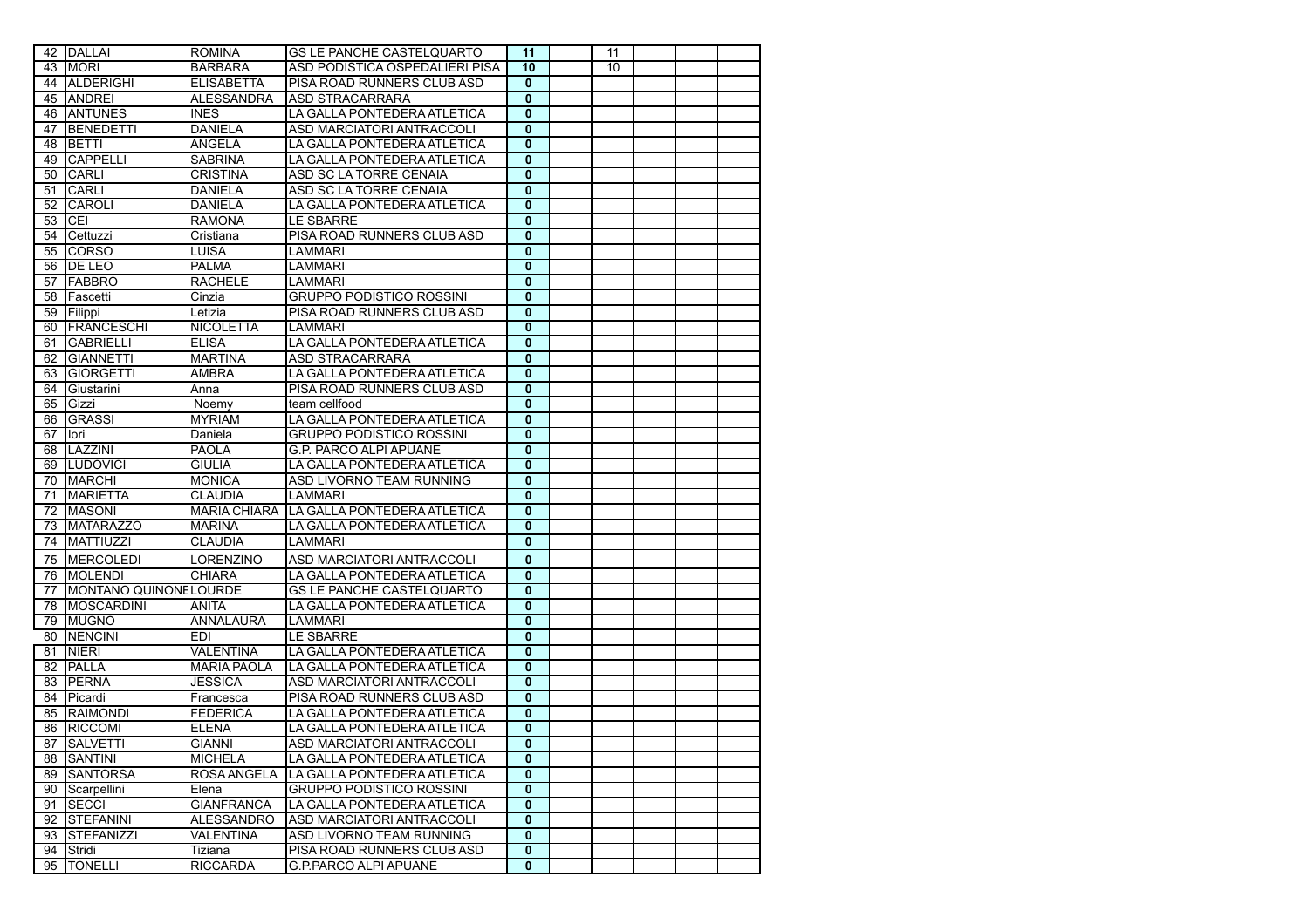|    | 42 DALLAI                    | <b>ROMINA</b>       | <b>GS LE PANCHE CASTELQUARTO</b> | 11                      | 11 |  |  |
|----|------------------------------|---------------------|----------------------------------|-------------------------|----|--|--|
|    | 43   MORI                    | <b>BARBARA</b>      | ASD PODISTICA OSPEDALIERI PISA   | 10                      | 10 |  |  |
|    | 44 ALDERIGHI                 | <b>ELISABETTA</b>   | PISA ROAD RUNNERS CLUB ASD       | $\mathbf 0$             |    |  |  |
|    | 45 ANDREI                    | <b>ALESSANDRA</b>   | ASD STRACARRARA                  | $\overline{0}$          |    |  |  |
|    | 46 ANTUNES                   | <b>INES</b>         | LA GALLA PONTEDERA ATLETICA      | $\mathbf 0$             |    |  |  |
| 47 | BENEDETTI                    | <b>DANIELA</b>      | ASD MARCIATORI ANTRACCOLI        | $\mathbf{0}$            |    |  |  |
| 48 | <b>BETTI</b>                 | ANGELA              | LA GALLA PONTEDERA ATLETICA      | $\mathbf{0}$            |    |  |  |
| 49 | <b>CAPPELLI</b>              | <b>SABRINA</b>      | LA GALLA PONTEDERA ATLETICA      | $\mathbf 0$             |    |  |  |
|    | 50 CARLI                     | <b>CRISTINA</b>     | ASD SC LA TORRE CENAIA           | $\overline{\mathbf{0}}$ |    |  |  |
| 51 | <b>CARLI</b>                 | <b>DANIELA</b>      | ASD SC LA TORRE CENAIA           | $\overline{\mathbf{0}}$ |    |  |  |
| 52 | <b>CAROLI</b>                | DANIELA             | LA GALLA PONTEDERA ATLETICA      | $\bf{0}$                |    |  |  |
| 53 | ICEI                         | <b>RAMONA</b>       | <b>LE SBARRE</b>                 | $\mathbf 0$             |    |  |  |
| 54 | Cettuzzi                     | Cristiana           | PISA ROAD RUNNERS CLUB ASD       | 0                       |    |  |  |
| 55 | CORSO                        | LUISA               | LAMMARI                          | $\mathbf 0$             |    |  |  |
| 56 | <b>IDE LEO</b>               | PALMA               | <b>LAMMARI</b>                   | $\mathbf{0}$            |    |  |  |
| 57 | <b>IFABBRO</b>               | <b>RACHELE</b>      | LAMMARI                          | $\mathbf 0$             |    |  |  |
| 58 | <b>Fascetti</b>              | Cinzia              | <b>GRUPPO PODISTICO ROSSINI</b>  | $\mathbf{0}$            |    |  |  |
|    | 59 Filippi                   | Letizia             | PISA ROAD RUNNERS CLUB ASD       | $\mathbf{0}$            |    |  |  |
|    | 60 FRANCESCHI                | <b>NICOLETTA</b>    | LAMMARI                          | $\bf{0}$                |    |  |  |
| 61 | <b>GABRIELLI</b>             | <b>ELISA</b>        | LA GALLA PONTEDERA ATLETICA      | $\mathbf{0}$            |    |  |  |
| 62 | <b>GIANNETTI</b>             | <b>MARTINA</b>      | ASD STRACARRARA                  | $\overline{0}$          |    |  |  |
| 63 | <b>GIORGETTI</b>             | AMBRA               | LA GALLA PONTEDERA ATLETICA      | 0                       |    |  |  |
| 64 | Giustarini                   | Anna                | PISA ROAD RUNNERS CLUB ASD       | $\mathbf 0$             |    |  |  |
| 65 | Gizzi                        | Noemy               | team cellfood                    | $\mathbf{0}$            |    |  |  |
| 66 | <b>GRASSI</b>                | <b>MYRIAM</b>       | LA GALLA PONTEDERA ATLETICA      | $\bf{0}$                |    |  |  |
| 67 | Hori                         | Daniela             | <b>GRUPPO PODISTICO ROSSINI</b>  | $\mathbf 0$             |    |  |  |
| 68 | <b>ILAZZINI</b>              | <b>PAOLA</b>        | <b>G.P. PARCO ALPI APUANE</b>    | $\mathbf{0}$            |    |  |  |
| 69 | <b>LUDOVICI</b>              | <b>GIULIA</b>       | LA GALLA PONTEDERA ATLETICA      | $\mathbf{0}$            |    |  |  |
| 70 | MARCHI                       | <b>MONICA</b>       | ASD LIVORNO TEAM RUNNING         | 0                       |    |  |  |
| 71 | <b>MARIETTA</b>              | <b>CLAUDIA</b>      | LAMMARI                          | $\overline{\mathbf{0}}$ |    |  |  |
| 72 | <b>MASONI</b>                | <b>MARIA CHIARA</b> | LA GALLA PONTEDERA ATLETICA      | $\mathbf{0}$            |    |  |  |
| 73 | <b>MATARAZZO</b>             | <b>MARINA</b>       | LA GALLA PONTEDERA ATLETICA      | $\mathbf{0}$            |    |  |  |
| 74 | MATTIUZZI                    | <b>CLAUDIA</b>      | LAMMARI                          | $\mathbf 0$             |    |  |  |
|    |                              |                     |                                  |                         |    |  |  |
| 75 | MERCOLEDI                    | LORENZINO           | ASD MARCIATORI ANTRACCOLI        | $\bf{0}$                |    |  |  |
| 76 | <b>MOLENDI</b>               | <b>CHIARA</b>       | LA GALLA PONTEDERA ATLETICA      | $\mathbf 0$             |    |  |  |
| 77 | <b>MONTANO QUINONELOURDE</b> |                     | <b>GS LE PANCHE CASTELQUARTO</b> | $\mathbf{0}$            |    |  |  |
|    | 78   MOSCARDINI              | ANITA               | LA GALLA PONTEDERA ATLETICA      | 0                       |    |  |  |
|    | 79 MUGNO                     | ANNALAURA           | LAMMARI                          | $\mathbf 0$             |    |  |  |
| 80 | <b>NENCINI</b>               | EDI                 | <b>LE SBARRE</b>                 | $\mathbf{0}$            |    |  |  |
| 81 | <b>NIERI</b>                 | <b>VALENTINA</b>    | LA GALLA PONTEDERA ATLETICA      | $\mathbf 0$             |    |  |  |
| 82 | <b>PALLA</b>                 | <b>MARIA PAOLA</b>  | LA GALLA PONTEDERA ATLETICA      | $\mathbf 0$             |    |  |  |
|    | 83 PERNA                     | <b>JESSICA</b>      | ASD MARCIATORI ANTRACCOLI        | $\mathbf 0$             |    |  |  |
| 84 | <b>Picardi</b>               | Francesca           | PISA ROAD RUNNERS CLUB ASD       | $\mathbf{0}$            |    |  |  |
| 85 | <b>RAIMONDI</b>              | <b>FEDERICA</b>     | LA GALLA PONTEDERA ATLETICA      | $\mathbf{0}$            |    |  |  |
| 86 | RICCOMI                      | <b>ELENA</b>        | LA GALLA PONTEDERA ATLETICA      | $\mathbf{0}$            |    |  |  |
|    | 87 SALVETTI                  | GIANNI              | ASD MARCIATORI ANTRACCOLI        | 0                       |    |  |  |
|    | 88 SANTINI                   | <b>MICHELA</b>      | LA GALLA PONTEDERA ATLETICA      | $\mathbf{0}$            |    |  |  |
|    | 89 SANTORSA                  | ROSA ANGELA         | LA GALLA PONTEDERA ATLETICA      | 0                       |    |  |  |
|    | 90 Scarpellini               | Elena               | <b>GRUPPO PODISTICO ROSSINI</b>  | $\mathbf 0$             |    |  |  |
|    | 91 SECCI                     | <b>GIANFRANCA</b>   | LA GALLA PONTEDERA ATLETICA      | $\mathbf 0$             |    |  |  |
|    | 92 STEFANINI                 | <b>ALESSANDRO</b>   | ASD MARCIATORI ANTRACCOLI        | $\mathbf 0$             |    |  |  |
|    | 93 STEFANIZZI                | <b>VALENTINA</b>    | ASD LIVORNO TEAM RUNNING         | $\mathbf 0$             |    |  |  |
|    | 94 Stridi                    | Tiziana             | PISA ROAD RUNNERS CLUB ASD       | 0                       |    |  |  |
|    | 95 TONELLI                   | <b>RICCARDA</b>     | <b>G.P.PARCO ALPI APUANE</b>     | 0                       |    |  |  |